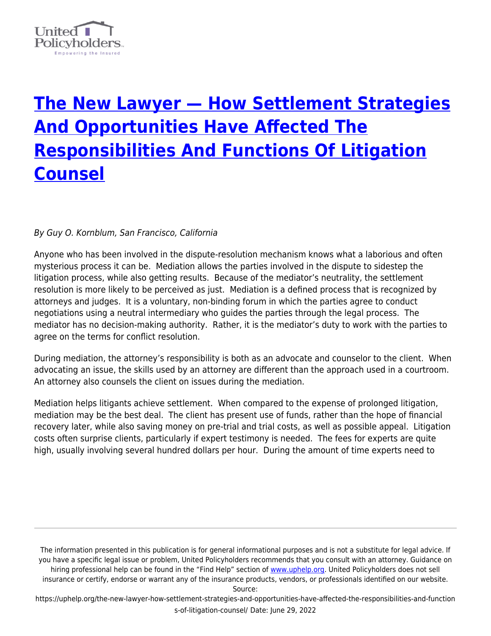

## **[The New Lawyer — How Settlement Strategies](https://uphelp.org/the-new-lawyer-how-settlement-strategies-and-opportunities-have-affected-the-responsibilities-and-functions-of-litigation-counsel/) [And Opportunities Have Affected The](https://uphelp.org/the-new-lawyer-how-settlement-strategies-and-opportunities-have-affected-the-responsibilities-and-functions-of-litigation-counsel/) [Responsibilities And Functions Of Litigation](https://uphelp.org/the-new-lawyer-how-settlement-strategies-and-opportunities-have-affected-the-responsibilities-and-functions-of-litigation-counsel/) [Counsel](https://uphelp.org/the-new-lawyer-how-settlement-strategies-and-opportunities-have-affected-the-responsibilities-and-functions-of-litigation-counsel/)**

## By Guy O. Kornblum, San Francisco, California

Anyone who has been involved in the dispute-resolution mechanism knows what a laborious and often mysterious process it can be. Mediation allows the parties involved in the dispute to sidestep the litigation process, while also getting results. Because of the mediator's neutrality, the settlement resolution is more likely to be perceived as just. Mediation is a defined process that is recognized by attorneys and judges. It is a voluntary, non-binding forum in which the parties agree to conduct negotiations using a neutral intermediary who guides the parties through the legal process. The mediator has no decision-making authority. Rather, it is the mediator's duty to work with the parties to agree on the terms for conflict resolution.

During mediation, the attorney's responsibility is both as an advocate and counselor to the client. When advocating an issue, the skills used by an attorney are different than the approach used in a courtroom. An attorney also counsels the client on issues during the mediation.

Mediation helps litigants achieve settlement. When compared to the expense of prolonged litigation, mediation may be the best deal. The client has present use of funds, rather than the hope of financial recovery later, while also saving money on pre-trial and trial costs, as well as possible appeal. Litigation costs often surprise clients, particularly if expert testimony is needed. The fees for experts are quite high, usually involving several hundred dollars per hour. During the amount of time experts need to

The information presented in this publication is for general informational purposes and is not a substitute for legal advice. If you have a specific legal issue or problem, United Policyholders recommends that you consult with an attorney. Guidance on hiring professional help can be found in the "Find Help" section of [www.uphelp.org.](http://www.uphelp.org/) United Policyholders does not sell insurance or certify, endorse or warrant any of the insurance products, vendors, or professionals identified on our website.

Source: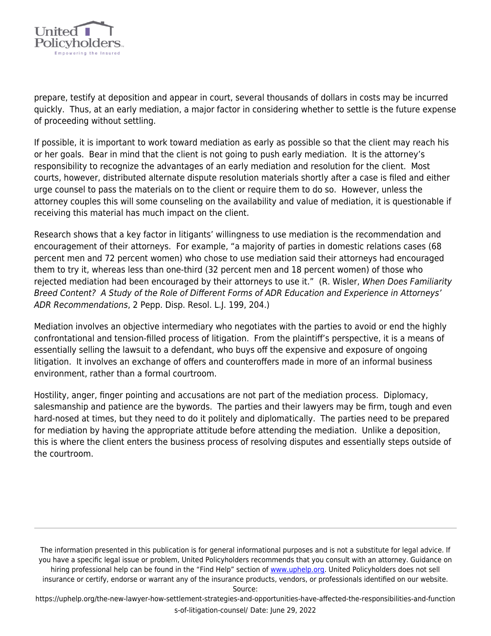

prepare, testify at deposition and appear in court, several thousands of dollars in costs may be incurred quickly. Thus, at an early mediation, a major factor in considering whether to settle is the future expense of proceeding without settling.

If possible, it is important to work toward mediation as early as possible so that the client may reach his or her goals. Bear in mind that the client is not going to push early mediation. It is the attorney's responsibility to recognize the advantages of an early mediation and resolution for the client. Most courts, however, distributed alternate dispute resolution materials shortly after a case is filed and either urge counsel to pass the materials on to the client or require them to do so. However, unless the attorney couples this will some counseling on the availability and value of mediation, it is questionable if receiving this material has much impact on the client.

Research shows that a key factor in litigants' willingness to use mediation is the recommendation and encouragement of their attorneys. For example, "a majority of parties in domestic relations cases (68 percent men and 72 percent women) who chose to use mediation said their attorneys had encouraged them to try it, whereas less than one-third (32 percent men and 18 percent women) of those who rejected mediation had been encouraged by their attorneys to use it." (R. Wisler, When Does Familiarity Breed Content? A Study of the Role of Different Forms of ADR Education and Experience in Attorneys' ADR Recommendations, 2 Pepp. Disp. Resol. L.J. 199, 204.)

Mediation involves an objective intermediary who negotiates with the parties to avoid or end the highly confrontational and tension-filled process of litigation. From the plaintiff's perspective, it is a means of essentially selling the lawsuit to a defendant, who buys off the expensive and exposure of ongoing litigation. It involves an exchange of offers and counteroffers made in more of an informal business environment, rather than a formal courtroom.

Hostility, anger, finger pointing and accusations are not part of the mediation process. Diplomacy, salesmanship and patience are the bywords. The parties and their lawyers may be firm, tough and even hard-nosed at times, but they need to do it politely and diplomatically. The parties need to be prepared for mediation by having the appropriate attitude before attending the mediation. Unlike a deposition, this is where the client enters the business process of resolving disputes and essentially steps outside of the courtroom.

The information presented in this publication is for general informational purposes and is not a substitute for legal advice. If you have a specific legal issue or problem, United Policyholders recommends that you consult with an attorney. Guidance on hiring professional help can be found in the "Find Help" section of [www.uphelp.org.](http://www.uphelp.org/) United Policyholders does not sell insurance or certify, endorse or warrant any of the insurance products, vendors, or professionals identified on our website.

Source: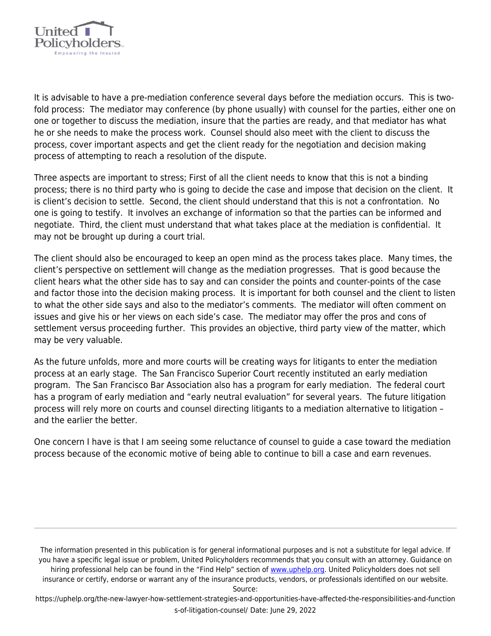

It is advisable to have a pre-mediation conference several days before the mediation occurs. This is twofold process: The mediator may conference (by phone usually) with counsel for the parties, either one on one or together to discuss the mediation, insure that the parties are ready, and that mediator has what he or she needs to make the process work. Counsel should also meet with the client to discuss the process, cover important aspects and get the client ready for the negotiation and decision making process of attempting to reach a resolution of the dispute.

Three aspects are important to stress; First of all the client needs to know that this is not a binding process; there is no third party who is going to decide the case and impose that decision on the client. It is client's decision to settle. Second, the client should understand that this is not a confrontation. No one is going to testify. It involves an exchange of information so that the parties can be informed and negotiate. Third, the client must understand that what takes place at the mediation is confidential. It may not be brought up during a court trial.

The client should also be encouraged to keep an open mind as the process takes place. Many times, the client's perspective on settlement will change as the mediation progresses. That is good because the client hears what the other side has to say and can consider the points and counter-points of the case and factor those into the decision making process. It is important for both counsel and the client to listen to what the other side says and also to the mediator's comments. The mediator will often comment on issues and give his or her views on each side's case. The mediator may offer the pros and cons of settlement versus proceeding further. This provides an objective, third party view of the matter, which may be very valuable.

As the future unfolds, more and more courts will be creating ways for litigants to enter the mediation process at an early stage. The San Francisco Superior Court recently instituted an early mediation program. The San Francisco Bar Association also has a program for early mediation. The federal court has a program of early mediation and "early neutral evaluation" for several years. The future litigation process will rely more on courts and counsel directing litigants to a mediation alternative to litigation – and the earlier the better.

One concern I have is that I am seeing some reluctance of counsel to guide a case toward the mediation process because of the economic motive of being able to continue to bill a case and earn revenues.

The information presented in this publication is for general informational purposes and is not a substitute for legal advice. If you have a specific legal issue or problem, United Policyholders recommends that you consult with an attorney. Guidance on hiring professional help can be found in the "Find Help" section of [www.uphelp.org.](http://www.uphelp.org/) United Policyholders does not sell insurance or certify, endorse or warrant any of the insurance products, vendors, or professionals identified on our website.

Source: